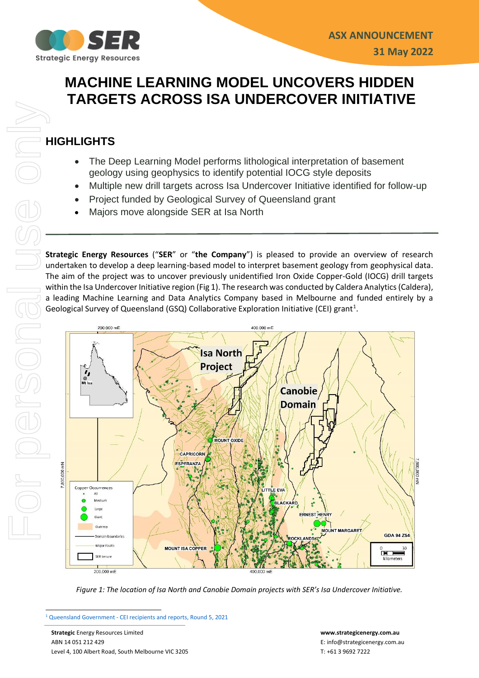

# **MACHINE LEARNING MODEL UNCOVERS HIDDEN TARGETS ACROSS ISA UNDERCOVER INITIATIVE**

## **HIGHLIGHTS**

- The Deep Learning Model performs lithological interpretation of basement geology using geophysics to identify potential IOCG style deposits
- Multiple new drill targets across Isa Undercover Initiative identified for follow-up
- Project funded by Geological Survey of Queensland grant
- Majors move alongside SER at Isa North

**Strategic Energy Resources** ("**SER**" or "**the Company**") is pleased to provide an overview of research undertaken to develop a deep learning-based model to interpret basement geology from geophysical data. The aim of the project was to uncover previously unidentified Iron Oxide Copper-Gold (IOCG) drill targets within the Isa Undercover Initiative region (Fig 1). The research was conducted by Caldera Analytics(Caldera), a leading Machine Learning and Data Analytics Company based in Melbourne and funded entirely by a Geological Survey of Queensland (GSQ) Collaborative Exploration Initiative (CEI) grant<sup>1</sup>.



*Figure 1: The location of Isa North and Canobie Domain projects with SER's Isa Undercover Initiative.*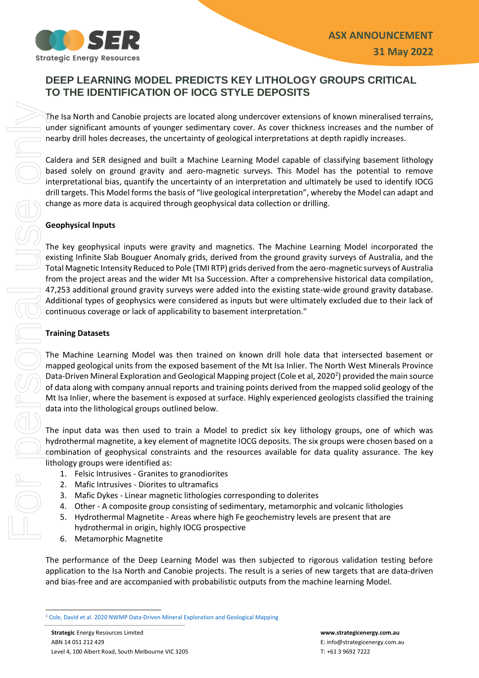

## **DEEP LEARNING MODEL PREDICTS KEY LITHOLOGY GROUPS CRITICAL TO THE IDENTIFICATION OF IOCG STYLE DEPOSITS**

The Isa North and Canobie projects are located along undercover extensions of known mineralised terrains, under significant amounts of younger sedimentary cover. As cover thickness increases and the number of nearby drill holes decreases, the uncertainty of geological interpretations at depth rapidly increases.

Caldera and SER designed and built a Machine Learning Model capable of classifying basement lithology based solely on ground gravity and aero-magnetic surveys. This Model has the potential to remove interpretational bias, quantify the uncertainty of an interpretation and ultimately be used to identify IOCG drill targets. This Model forms the basis of "live geological interpretation", whereby the Model can adapt and change as more data is acquired through geophysical data collection or drilling.

### **Geophysical Inputs**

The key geophysical inputs were gravity and magnetics. The Machine Learning Model incorporated the existing Infinite Slab Bouguer Anomaly grids, derived from the ground gravity surveys of Australia, and the Total Magnetic Intensity Reduced to Pole (TMI RTP) grids derived from the aero-magnetic surveys of Australia from the project areas and the wider Mt Isa Succession. After a comprehensive historical data compilation, 47,253 additional ground gravity surveys were added into the existing state-wide ground gravity database. Additional types of geophysics were considered as inputs but were ultimately excluded due to their lack of continuous coverage or lack of applicability to basement interpretation." The Isa North and Canoble projects are located along undercove<br>
under significant amounts of younger sedimentary cover. As correctantly of a<br>Scolicle at a mean to straight and built a Machine Learning Model<br>
Underset and S

### **Training Datasets**

The Machine Learning Model was then trained on known drill hole data that intersected basement or mapped geological units from the exposed basement of the Mt Isa Inlier. The North West Minerals Province Data-Driven Mineral Exploration and Geological Mapping project (Cole et al, 2020<sup>2</sup>) provided the main source of data along with company annual reports and training points derived from the mapped solid geology of the Mt Isa Inlier, where the basement is exposed at surface. Highly experienced geologists classified the training data into the lithological groups outlined below.

The input data was then used to train a Model to predict six key lithology groups, one of which was hydrothermal magnetite, a key element of magnetite IOCG deposits. The six groups were chosen based on a combination of geophysical constraints and the resources available for data quality assurance. The key lithology groups were identified as:

- 1. Felsic Intrusives Granites to granodiorites
- 2. Mafic Intrusives Diorites to ultramafics
- 3. Mafic Dykes Linear magnetic lithologies corresponding to dolerites
- 4. Other A composite group consisting of sedimentary, metamorphic and volcanic lithologies
- 5. Hydrothermal Magnetite Areas where high Fe geochemistry levels are present that are hydrothermal in origin, highly IOCG prospective
- 6. Metamorphic Magnetite

The performance of the Deep Learning Model was then subjected to rigorous validation testing before application to the Isa North and Canobie projects. The result is a series of new targets that are data-driven and bias-free and are accompanied with probabilistic outputs from the machine learning Model.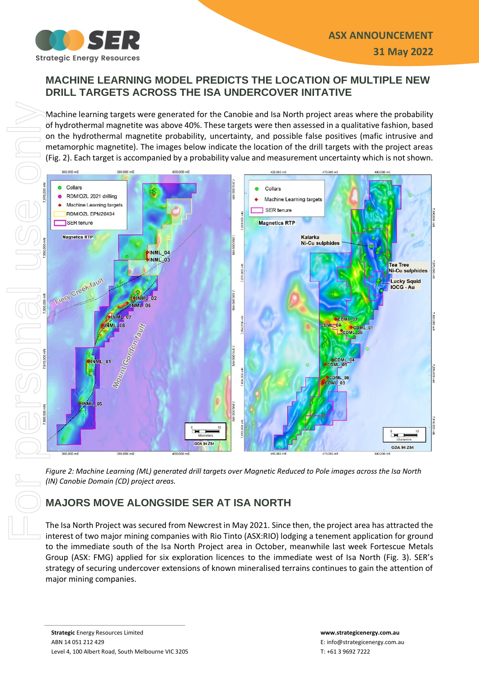

### **MACHINE LEARNING MODEL PREDICTS THE LOCATION OF MULTIPLE NEW DRILL TARGETS ACROSS THE ISA UNDERCOVER INITATIVE**

Machine learning targets were generated for the Canobie and Isa North project areas where the probability of hydrothermal magnetite was above 40%. These targets were then assessed in a qualitative fashion, based on the hydrothermal magnetite probability, uncertainty, and possible false positives (mafic intrusive and metamorphic magnetite). The images below indicate the location of the drill targets with the project areas (Fig. 2). Each target is accompanied by a probability value and measurement uncertainty which is not shown.



*Figure 2: Machine Learning (ML) generated drill targets over Magnetic Reduced to Pole images across the Isa North (IN) Canobie Domain (CD) project areas.* 

## **MAJORS MOVE ALONGSIDE SER AT ISA NORTH**

The Isa North Project was secured from Newcrest in May 2021. Since then, the project area has attracted the interest of two major mining companies with Rio Tinto (ASX:RIO) lodging a tenement application for ground to the immediate south of the Isa North Project area in October, meanwhile last week Fortescue Metals Group (ASX: FMG) applied for six exploration licences to the immediate west of Isa North (Fig. 3). SER's strategy of securing undercover extensions of known mineralised terrains continues to gain the attention of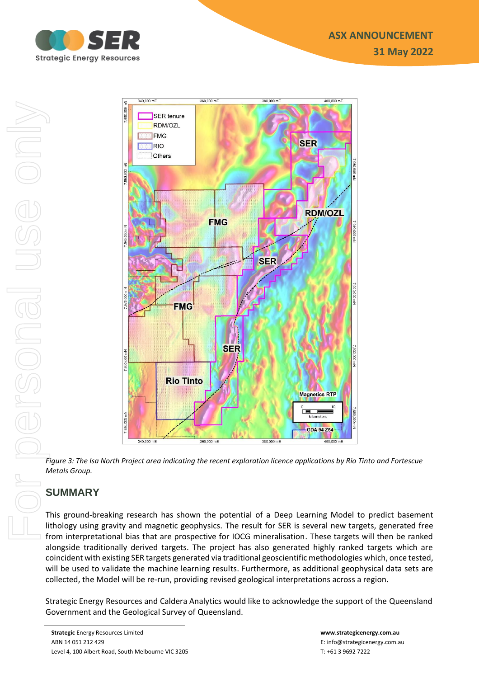



*Figure 3: The Isa North Project area indicating the recent exploration licence applications by Rio Tinto and Fortescue Metals Group.* 

## **SUMMARY**

This ground-breaking research has shown the potential of a Deep Learning Model to predict basement lithology using gravity and magnetic geophysics. The result for SER is several new targets, generated free from interpretational bias that are prospective for IOCG mineralisation. These targets will then be ranked alongside traditionally derived targets. The project has also generated highly ranked targets which are coincident with existing SER targets generated via traditional geoscientific methodologies which, once tested, will be used to validate the machine learning results. Furthermore, as additional geophysical data sets are collected, the Model will be re-run, providing revised geological interpretations across a region.

Strategic Energy Resources and Caldera Analytics would like to acknowledge the support of the Queensland